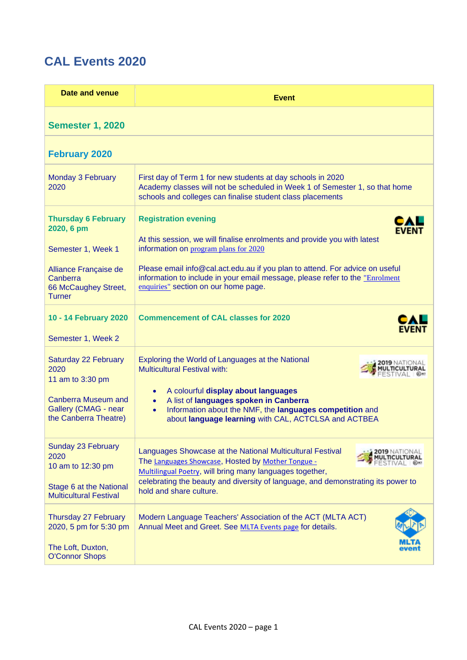## **CAL Events 2020**

| Date and venue                                                                                                                  | <b>Event</b>                                                                                                                                                                                                                                                                                                                                                     |  |
|---------------------------------------------------------------------------------------------------------------------------------|------------------------------------------------------------------------------------------------------------------------------------------------------------------------------------------------------------------------------------------------------------------------------------------------------------------------------------------------------------------|--|
| <b>Semester 1, 2020</b>                                                                                                         |                                                                                                                                                                                                                                                                                                                                                                  |  |
| <b>February 2020</b>                                                                                                            |                                                                                                                                                                                                                                                                                                                                                                  |  |
| <b>Monday 3 February</b><br>2020                                                                                                | First day of Term 1 for new students at day schools in 2020<br>Academy classes will not be scheduled in Week 1 of Semester 1, so that home<br>schools and colleges can finalise student class placements                                                                                                                                                         |  |
| <b>Thursday 6 February</b><br>2020, 6 pm<br>Semester 1, Week 1<br>Alliance Française de<br>Canberra<br>66 McCaughey Street,     | <b>Registration evening</b><br>FVFN<br>At this session, we will finalise enrolments and provide you with latest<br>information on program plans for 2020<br>Please email info@cal.act.edu.au if you plan to attend. For advice on useful<br>information to include in your email message, please refer to the "Enrolment<br>enquiries" section on our home page. |  |
| <b>Turner</b><br>10 - 14 February 2020<br>Semester 1, Week 2                                                                    | <b>Commencement of CAL classes for 2020</b>                                                                                                                                                                                                                                                                                                                      |  |
| Saturday 22 February<br>2020<br>11 am to 3:30 pm<br><b>Canberra Museum and</b><br>Gallery (CMAG - near<br>the Canberra Theatre) | Exploring the World of Languages at the National<br><b>Multicultural Festival with:</b><br>A colourful display about languages<br>$\bullet$<br>A list of languages spoken in Canberra<br>$\bullet$<br>Information about the NMF, the languages competition and<br>$\bullet$<br>about language learning with CAL, ACTCLSA and ACTBEA                              |  |
| Sunday 23 February<br>2020<br>10 am to 12:30 pm<br>Stage 6 at the National<br><b>Multicultural Festival</b>                     | Languages Showcase at the National Multicultural Festival<br>The Languages Showcase, Hosted by Mother Tongue -<br>Multilingual Poetry, will bring many languages together,<br>celebrating the beauty and diversity of language, and demonstrating its power to<br>hold and share culture.                                                                        |  |
| Thursday 27 February<br>2020, 5 pm for 5:30 pm<br>The Loft, Duxton,<br><b>O'Connor Shops</b>                                    | Modern Language Teachers' Association of the ACT (MLTA ACT)<br>Annual Meet and Greet. See MLTA Events page for details.                                                                                                                                                                                                                                          |  |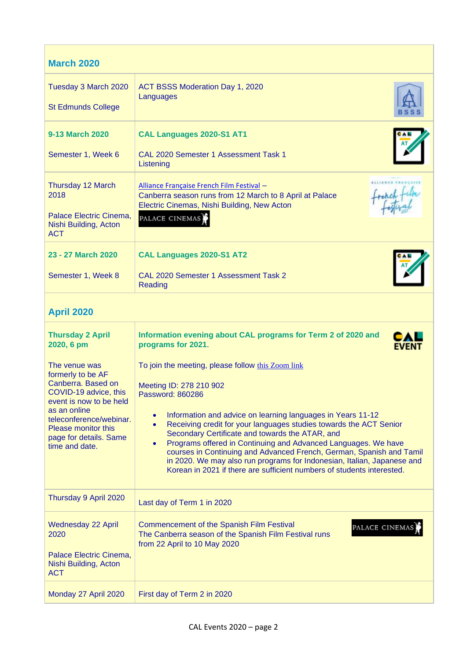| <b>March 2020</b>                                                                                   |                                                                                                                                                                                                                                                                                                                                                             |  |
|-----------------------------------------------------------------------------------------------------|-------------------------------------------------------------------------------------------------------------------------------------------------------------------------------------------------------------------------------------------------------------------------------------------------------------------------------------------------------------|--|
| Tuesday 3 March 2020<br><b>St Edmunds College</b>                                                   | ACT BSSS Moderation Day 1, 2020<br>Languages                                                                                                                                                                                                                                                                                                                |  |
|                                                                                                     |                                                                                                                                                                                                                                                                                                                                                             |  |
| 9-13 March 2020                                                                                     | CAL Languages 2020-S1 AT1                                                                                                                                                                                                                                                                                                                                   |  |
| Semester 1, Week 6                                                                                  | <b>CAL 2020 Semester 1 Assessment Task 1</b><br>Listening                                                                                                                                                                                                                                                                                                   |  |
| Thursday 12 March<br>2018                                                                           | Alliance Française French Film Festival -<br>reach film<br>Canberra season runs from 12 March to 8 April at Palace<br>Electric Cinemas, Nishi Building, New Acton                                                                                                                                                                                           |  |
| Palace Electric Cinema,<br>Nishi Building, Acton<br><b>ACT</b>                                      | PALACE CINEMAS                                                                                                                                                                                                                                                                                                                                              |  |
| 23 - 27 March 2020                                                                                  | CAL Languages 2020-S1 AT2                                                                                                                                                                                                                                                                                                                                   |  |
| Semester 1, Week 8                                                                                  | CAL 2020 Semester 1 Assessment Task 2<br>Reading                                                                                                                                                                                                                                                                                                            |  |
| <b>April 2020</b>                                                                                   |                                                                                                                                                                                                                                                                                                                                                             |  |
| <b>Thursday 2 April</b><br>2020, 6 pm                                                               | Information evening about CAL programs for Term 2 of 2020 and<br>programs for 2021.<br><b>EVENT</b>                                                                                                                                                                                                                                                         |  |
| The venue was<br>formerly to be AF                                                                  | To join the meeting, please follow this Zoom link                                                                                                                                                                                                                                                                                                           |  |
| Canberra. Based on<br>COVID-19 advice, this                                                         | Meeting ID: 278 210 902<br>Password: 860286                                                                                                                                                                                                                                                                                                                 |  |
| event is now to be held<br>as an online                                                             |                                                                                                                                                                                                                                                                                                                                                             |  |
| teleconference/webinar.<br>Please monitor this                                                      | Information and advice on learning languages in Years 11-12<br>$\bullet$<br>Receiving credit for your languages studies towards the ACT Senior<br>$\bullet$                                                                                                                                                                                                 |  |
| page for details. Same<br>time and date.                                                            | Secondary Certificate and towards the ATAR, and<br>Programs offered in Continuing and Advanced Languages. We have<br>$\bullet$<br>courses in Continuing and Advanced French, German, Spanish and Tamil<br>in 2020. We may also run programs for Indonesian, Italian, Japanese and<br>Korean in 2021 if there are sufficient numbers of students interested. |  |
| Thursday 9 April 2020                                                                               | Last day of Term 1 in 2020                                                                                                                                                                                                                                                                                                                                  |  |
| <b>Wednesday 22 April</b><br>2020<br>Palace Electric Cinema,<br>Nishi Building, Acton<br><b>ACT</b> | Commencement of the Spanish Film Festival<br>PALACE CINEMAS<br>The Canberra season of the Spanish Film Festival runs<br>from 22 April to 10 May 2020                                                                                                                                                                                                        |  |
| Monday 27 April 2020                                                                                | First day of Term 2 in 2020                                                                                                                                                                                                                                                                                                                                 |  |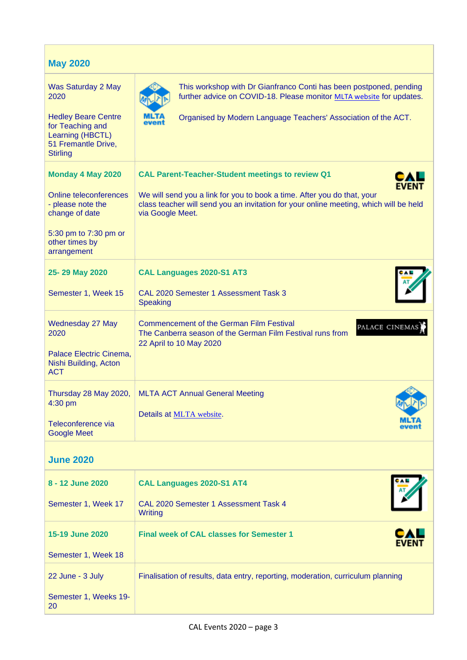| <b>May 2020</b>                                                                                                                                     |                                                                                                                                                                                                                                                                 |
|-----------------------------------------------------------------------------------------------------------------------------------------------------|-----------------------------------------------------------------------------------------------------------------------------------------------------------------------------------------------------------------------------------------------------------------|
| Was Saturday 2 May<br>2020<br><b>Hedley Beare Centre</b><br>for Teaching and<br>Learning (HBCTL)<br>51 Fremantle Drive,<br><b>Stirling</b>          | This workshop with Dr Gianfranco Conti has been postponed, pending<br>further advice on COVID-18. Please monitor MLTA website for updates.<br>Organised by Modern Language Teachers' Association of the ACT.                                                    |
| <b>Monday 4 May 2020</b><br>Online teleconferences<br>- please note the<br>change of date<br>5:30 pm to 7:30 pm or<br>other times by<br>arrangement | <b>CAL Parent-Teacher-Student meetings to review Q1</b><br><b>EVENT</b><br>We will send you a link for you to book a time. After you do that, your<br>class teacher will send you an invitation for your online meeting, which will be held<br>via Google Meet. |
| 25-29 May 2020<br>Semester 1, Week 15                                                                                                               | CAL Languages 2020-S1 AT3<br>CAL 2020 Semester 1 Assessment Task 3<br><b>Speaking</b>                                                                                                                                                                           |
| Wednesday 27 May<br>2020<br>Palace Electric Cinema,<br>Nishi Building, Acton<br><b>ACT</b>                                                          | <b>Commencement of the German Film Festival</b><br>PALACE CINEMAS<br>The Canberra season of the German Film Festival runs from<br>22 April to 10 May 2020                                                                                                       |
| Thursday 28 May 2020,<br>4:30 pm<br>Teleconference via<br><b>Google Meet</b>                                                                        | <b>MLTA ACT Annual General Meeting</b><br>Details at MLTA website.<br><b>MLT</b><br>event                                                                                                                                                                       |
| <b>June 2020</b>                                                                                                                                    |                                                                                                                                                                                                                                                                 |

| 8 - 12 June 2020<br>Semester 1, Week 17                | CAL Languages 2020-S1 AT4<br>CAL 2020 Semester 1 Assessment Task 4<br><b>Writing</b> |  |
|--------------------------------------------------------|--------------------------------------------------------------------------------------|--|
| 15-19 June 2020<br>Semester 1, Week 18                 | CAL<br><b>Final week of CAL classes for Semester 1</b><br><b>EVENT</b>               |  |
| 22 June - 3 July<br>Semester 1, Weeks 19-<br><b>20</b> | Finalisation of results, data entry, reporting, moderation, curriculum planning      |  |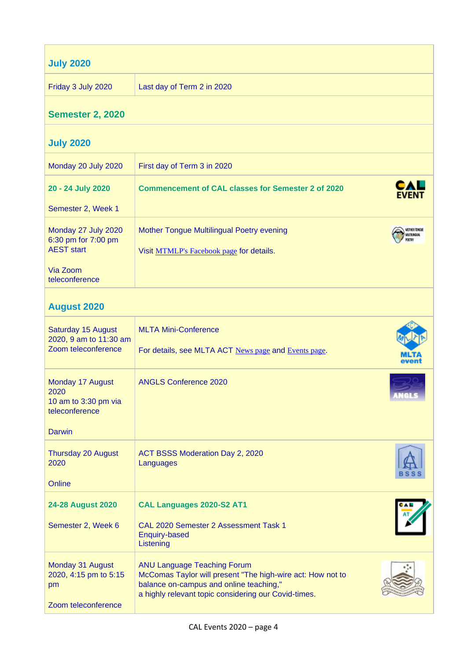| <b>July 2020</b>                                                                              |                                                                                                                                                                                                     |  |
|-----------------------------------------------------------------------------------------------|-----------------------------------------------------------------------------------------------------------------------------------------------------------------------------------------------------|--|
| Friday 3 July 2020                                                                            | Last day of Term 2 in 2020                                                                                                                                                                          |  |
| <b>Semester 2, 2020</b>                                                                       |                                                                                                                                                                                                     |  |
| <b>July 2020</b>                                                                              |                                                                                                                                                                                                     |  |
| Monday 20 July 2020                                                                           | First day of Term 3 in 2020                                                                                                                                                                         |  |
| 20 - 24 July 2020<br>Semester 2, Week 1                                                       | <b>Commencement of CAL classes for Semester 2 of 2020</b>                                                                                                                                           |  |
| Monday 27 July 2020<br>6:30 pm for 7:00 pm<br><b>AEST start</b><br>Via Zoom<br>teleconference | Mother Tongue Multilingual Poetry evening<br>Visit MTMLP's Facebook page for details.                                                                                                               |  |
| <b>August 2020</b>                                                                            |                                                                                                                                                                                                     |  |
| Saturday 15 August<br>2020, 9 am to 11:30 am<br>Zoom teleconference                           | <b>MLTA Mini-Conference</b><br>For details, see MLTA ACT News page and Events page.                                                                                                                 |  |
| Monday 17 August<br>2020<br>10 am to 3:30 pm via<br>teleconference                            | <b>ANGLS Conference 2020</b>                                                                                                                                                                        |  |
| <b>Darwin</b>                                                                                 |                                                                                                                                                                                                     |  |
| Thursday 20 August<br>2020<br>Online                                                          | ACT BSSS Moderation Day 2, 2020<br>Languages                                                                                                                                                        |  |
| 24-28 August 2020                                                                             | CAL Languages 2020-S2 AT1                                                                                                                                                                           |  |
| Semester 2, Week 6                                                                            | CAL 2020 Semester 2 Assessment Task 1<br><b>Enquiry-based</b><br>Listening                                                                                                                          |  |
| Monday 31 August<br>2020, 4:15 pm to 5:15<br>pm<br>Zoom teleconference                        | <b>ANU Language Teaching Forum</b><br>McComas Taylor will present "The high-wire act: How not to<br>balance on-campus and online teaching,"<br>a highly relevant topic considering our Covid-times. |  |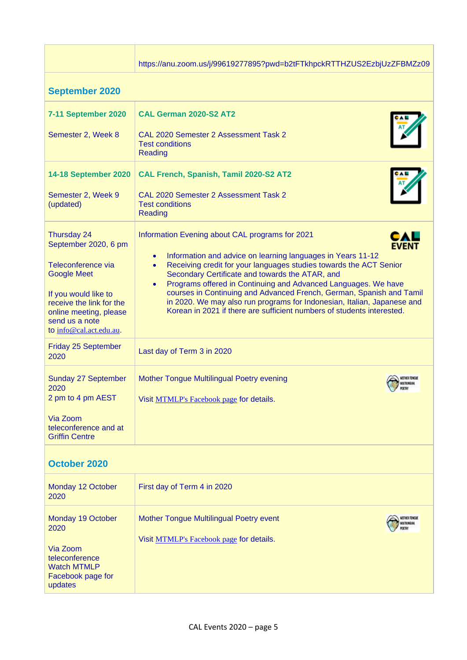|                                                                                                                         | https://anu.zoom.us/j/99619277895?pwd=b2tFTkhpckRTTHZUS2EzbjUzZFBMZz09                                                                                                                                                                                                                                   |
|-------------------------------------------------------------------------------------------------------------------------|----------------------------------------------------------------------------------------------------------------------------------------------------------------------------------------------------------------------------------------------------------------------------------------------------------|
| <b>September 2020</b>                                                                                                   |                                                                                                                                                                                                                                                                                                          |
| <b>7-11 September 2020</b>                                                                                              | CAL German 2020-S2 AT2                                                                                                                                                                                                                                                                                   |
| Semester 2, Week 8                                                                                                      | CAL 2020 Semester 2 Assessment Task 2<br><b>Test conditions</b><br>Reading                                                                                                                                                                                                                               |
| <b>14-18 September 2020</b>                                                                                             | CAL French, Spanish, Tamil 2020-S2 AT2                                                                                                                                                                                                                                                                   |
| Semester 2, Week 9<br>(updated)                                                                                         | CAL 2020 Semester 2 Assessment Task 2<br><b>Test conditions</b><br>Reading                                                                                                                                                                                                                               |
| Thursday 24<br>September 2020, 6 pm                                                                                     | Information Evening about CAL programs for 2021<br><b>EVEN</b><br>Information and advice on learning languages in Years 11-12<br>$\bullet$                                                                                                                                                               |
| Teleconference via<br><b>Google Meet</b>                                                                                | Receiving credit for your languages studies towards the ACT Senior<br>$\bullet$<br>Secondary Certificate and towards the ATAR, and                                                                                                                                                                       |
| If you would like to<br>receive the link for the<br>online meeting, please<br>send us a note<br>to info@cal.act.edu.au. | Programs offered in Continuing and Advanced Languages. We have<br>$\bullet$<br>courses in Continuing and Advanced French, German, Spanish and Tamil<br>in 2020. We may also run programs for Indonesian, Italian, Japanese and<br>Korean in 2021 if there are sufficient numbers of students interested. |
| Friday 25 September<br>2020                                                                                             | Last day of Term 3 in 2020                                                                                                                                                                                                                                                                               |
| Sunday 27 September<br>2020                                                                                             | Mother Tongue Multilingual Poetry evening<br><b>METERGENI</b>                                                                                                                                                                                                                                            |
| 2 pm to 4 pm AEST                                                                                                       | Visit MTMLP's Facebook page for details.                                                                                                                                                                                                                                                                 |
| Via Zoom<br>teleconference and at<br><b>Griffin Centre</b>                                                              |                                                                                                                                                                                                                                                                                                          |
| <b>October 2020</b>                                                                                                     |                                                                                                                                                                                                                                                                                                          |
| Monday 12 October<br>2020                                                                                               | First day of Term 4 in 2020                                                                                                                                                                                                                                                                              |
| Monday 19 October<br>2020                                                                                               | Mother Tongue Multilingual Poetry event<br>MOTHER TONGUE                                                                                                                                                                                                                                                 |
|                                                                                                                         | Visit MTMLP's Facebook page for details.                                                                                                                                                                                                                                                                 |

Via Zoom teleconference Watch MTMLP Facebook page for

updates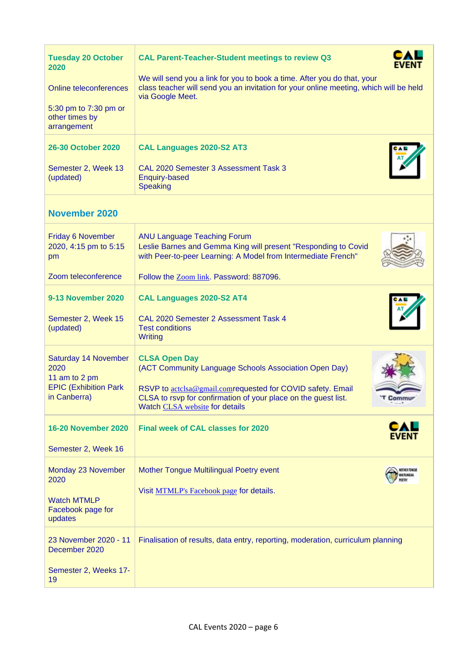| <b>Tuesday 20 October</b><br>2020<br><b>Online teleconferences</b><br>5:30 pm to 7:30 pm or<br>other times by<br>arrangement<br>26-30 October 2020 | <b>CAL Parent-Teacher-Student meetings to review Q3</b><br>FVFNT<br>We will send you a link for you to book a time. After you do that, your<br>class teacher will send you an invitation for your online meeting, which will be held<br>via Google Meet.<br>CAL Languages 2020-S2 AT3 |  |
|----------------------------------------------------------------------------------------------------------------------------------------------------|---------------------------------------------------------------------------------------------------------------------------------------------------------------------------------------------------------------------------------------------------------------------------------------|--|
| Semester 2, Week 13<br>(updated)                                                                                                                   | CAL 2020 Semester 3 Assessment Task 3<br><b>Enquiry-based</b><br><b>Speaking</b>                                                                                                                                                                                                      |  |
| <b>November 2020</b>                                                                                                                               |                                                                                                                                                                                                                                                                                       |  |
| <b>Friday 6 November</b><br>2020, 4:15 pm to 5:15<br>pm<br>Zoom teleconference                                                                     | <b>ANU Language Teaching Forum</b><br>Leslie Barnes and Gemma King will present "Responding to Covid<br>with Peer-to-peer Learning: A Model from Intermediate French"<br>Follow the Zoom link. Password: 887096.                                                                      |  |
| <b>9-13 November 2020</b><br>Semester 2, Week 15<br>(updated)                                                                                      | CAL Languages 2020-S2 AT4<br>CAL 2020 Semester 2 Assessment Task 4<br><b>Test conditions</b><br><b>Writing</b>                                                                                                                                                                        |  |
| Saturday 14 November<br>2020<br>11 am to 2 pm<br><b>EPIC (Exhibition Park</b><br>in Canberra)                                                      | <b>CLSA Open Day</b><br>(ACT Community Language Schools Association Open Day)<br>RSVP to actclsa@gmail.comrequested for COVID safety. Email<br>CLSA to rsvp for confirmation of your place on the guest list.<br><b>Commu</b><br>Watch CLSA website for details                       |  |
| <b>16-20 November 2020</b><br>Semester 2, Week 16                                                                                                  | CAL<br><b>Final week of CAL classes for 2020</b><br><b>EVENT</b>                                                                                                                                                                                                                      |  |
| Monday 23 November<br>2020<br><b>Watch MTMLP</b><br>Facebook page for<br>updates                                                                   | Mother Tongue Multilingual Poetry event<br>MOTHER TONGUE<br>Visit MTMLP's Facebook page for details.                                                                                                                                                                                  |  |
| 23 November 2020 - 11<br>December 2020<br>Semester 2, Weeks 17-<br>19                                                                              | Finalisation of results, data entry, reporting, moderation, curriculum planning                                                                                                                                                                                                       |  |